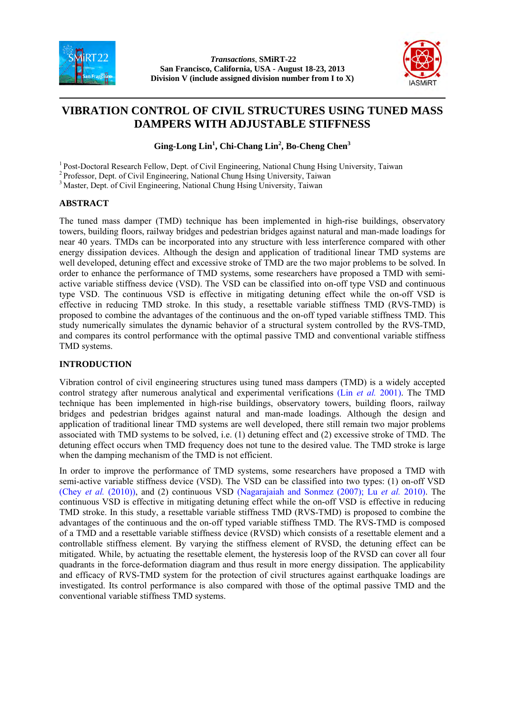

 *Transactions*, **SMiRT-22 San Francisco, California, USA - August 18-23, 2013 Division V (include assigned division number from I to X)** 



# **VIBRATION CONTROL OF CIVIL STRUCTURES USING TUNED MASS DAMPERS WITH ADJUSTABLE STIFFNESS**

Ging-Long Lin<sup>1</sup>, Chi-Chang Lin<sup>2</sup>, Bo-Cheng Chen<sup>3</sup>

<sup>1</sup> Post-Doctoral Research Fellow, Dept. of Civil Engineering, National Chung Hsing University, Taiwan

2 Professor, Dept. of Civil Engineering, National Chung Hsing University, Taiwan

<sup>3</sup> Master, Dept. of Civil Engineering, National Chung Hsing University, Taiwan

# **ABSTRACT**

The tuned mass damper (TMD) technique has been implemented in high-rise buildings, observatory towers, building floors, railway bridges and pedestrian bridges against natural and man-made loadings for near 40 years. TMDs can be incorporated into any structure with less interference compared with other energy dissipation devices. Although the design and application of traditional linear TMD systems are well developed, detuning effect and excessive stroke of TMD are the two major problems to be solved. In order to enhance the performance of TMD systems, some researchers have proposed a TMD with semiactive variable stiffness device (VSD). The VSD can be classified into on-off type VSD and continuous type VSD. The continuous VSD is effective in mitigating detuning effect while the on-off VSD is effective in reducing TMD stroke. In this study, a resettable variable stiffness TMD (RVS-TMD) is proposed to combine the advantages of the continuous and the on-off typed variable stiffness TMD. This study numerically simulates the dynamic behavior of a structural system controlled by the RVS-TMD, and compares its control performance with the optimal passive TMD and conventional variable stiffness TMD systems.

# **INTRODUCTION**

Vibration control of civil engineering structures using tuned mass dampers (TMD) is a widely accepted control strategy after numerous analytical and experimental verifications (Lin *et al.* 2001). The TMD technique has been implemented in high-rise buildings, observatory towers, building floors, railway bridges and pedestrian bridges against natural and man-made loadings. Although the design and application of traditional linear TMD systems are well developed, there still remain two major problems associated with TMD systems to be solved, i.e. (1) detuning effect and (2) excessive stroke of TMD. The detuning effect occurs when TMD frequency does not tune to the desired value. The TMD stroke is large when the damping mechanism of the TMD is not efficient.

In order to improve the performance of TMD systems, some researchers have proposed a TMD with semi-active variable stiffness device (VSD). The VSD can be classified into two types: (1) on-off VSD (Chey *et al.* (2010)), and (2) continuous VSD (Nagarajaiah and Sonmez (2007); Lu *et al.* 2010). The continuous VSD is effective in mitigating detuning effect while the on-off VSD is effective in reducing TMD stroke. In this study, a resettable variable stiffness TMD (RVS-TMD) is proposed to combine the advantages of the continuous and the on-off typed variable stiffness TMD. The RVS-TMD is composed of a TMD and a resettable variable stiffness device (RVSD) which consists of a resettable element and a controllable stiffness element. By varying the stiffness element of RVSD, the detuning effect can be mitigated. While, by actuating the resettable element, the hysteresis loop of the RVSD can cover all four quadrants in the force-deformation diagram and thus result in more energy dissipation. The applicability and efficacy of RVS-TMD system for the protection of civil structures against earthquake loadings are investigated. Its control performance is also compared with those of the optimal passive TMD and the conventional variable stiffness TMD systems.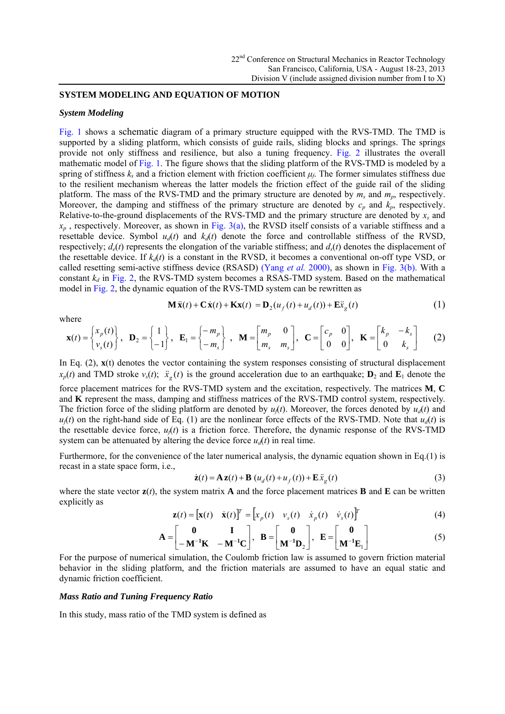#### **SYSTEM MODELING AND EQUATION OF MOTION**

#### *System Modeling*

Fig. 1 shows a schematic diagram of a primary structure equipped with the RVS-TMD. The TMD is supported by a sliding platform, which consists of guide rails, sliding blocks and springs. The springs provide not only stiffness and resilience, but also a tuning frequency. Fig. 2 illustrates the overall mathematic model of Fig. 1. The figure shows that the sliding platform of the RVS-TMD is modeled by a spring of stiffness  $k<sub>s</sub>$  and a friction element with friction coefficient  $\mu<sub>f</sub>$ . The former simulates stiffness due to the resilient mechanism whereas the latter models the friction effect of the guide rail of the sliding platform. The mass of the RVS-TMD and the primary structure are denoted by *ms* and *mp*, respectively. Moreover, the damping and stiffness of the primary structure are denoted by  $c_p$  and  $k_p$ , respectively. Relative-to-the-ground displacements of the RVS-TMD and the primary structure are denoted by *xs* and  $x_p$ , respectively. Moreover, as shown in Fig. 3(a), the RVSD itself consists of a variable stiffness and a resettable device. Symbol  $u_d(t)$  and  $k_d(t)$  denote the force and controllable stiffness of the RVSD, respectively;  $d_e(t)$  represents the elongation of the variable stiffness; and  $d_s(t)$  denotes the displacement of the resettable device. If  $k_d(t)$  is a constant in the RVSD, it becomes a conventional on-off type VSD, or called resetting semi-active stiffness device (RSASD) (Yang *et al.* 2000), as shown in Fig. 3(b). With a constant  $k_d$  in Fig. 2, the RVS-TMD system becomes a RSAS-TMD system. Based on the mathematical model in Fig. 2, the dynamic equation of the RVS-TMD system can be rewritten as

where

$$
\mathbf{M}\ddot{\mathbf{x}}(t) + \mathbf{C}\dot{\mathbf{x}}(t) + \mathbf{K}\mathbf{x}(t) = \mathbf{D}_2(u_f(t) + u_d(t)) + \mathbf{E}\ddot{\mathbf{x}}_g(t)
$$
(1)

$$
\mathbf{x}(t) = \begin{Bmatrix} x_p(t) \\ v_s(t) \end{Bmatrix}, \quad \mathbf{D}_2 = \begin{Bmatrix} 1 \\ -1 \end{Bmatrix}, \quad \mathbf{E}_1 = \begin{Bmatrix} -m_p \\ -m_s \end{Bmatrix}, \quad \mathbf{M} = \begin{bmatrix} m_p & 0 \\ m_s & m_s \end{bmatrix}, \quad \mathbf{C} = \begin{bmatrix} c_p & 0 \\ 0 & 0 \end{bmatrix}, \quad \mathbf{K} = \begin{bmatrix} k_p & -k_s \\ 0 & k_s \end{bmatrix}
$$
 (2)

In Eq. (2),  $\mathbf{x}(t)$  denotes the vector containing the system responses consisting of structural displacement  $x_p(t)$  and TMD stroke  $v_s(t)$ ;  $\ddot{x}_g(t)$  is the ground acceleration due to an earthquake;  $\mathbf{D}_2$  and  $\mathbf{E}_1$  denote the force placement matrices for the RVS-TMD system and the excitation, respectively. The matrices **M**, **C** and **K** represent the mass, damping and stiffness matrices of the RVS-TMD control system, respectively. The friction force of the sliding platform are denoted by  $u(t)$ . Moreover, the forces denoted by  $u_d(t)$  and  $u_f(t)$  on the right-hand side of Eq. (1) are the nonlinear force effects of the RVS-TMD. Note that  $u_d(t)$  is the resettable device force,  $u_f(t)$  is a friction force. Therefore, the dynamic response of the RVS-TMD system can be attenuated by altering the device force  $u_d(t)$  in real time.

Furthermore, for the convenience of the later numerical analysis, the dynamic equation shown in Eq.(1) is recast in a state space form, i.e.,

$$
\dot{\mathbf{z}}(t) = \mathbf{A}\mathbf{z}(t) + \mathbf{B}\left(u_d(t) + u_f(t)\right) + \mathbf{E}\ddot{x}_g(t)
$$
\n(3)

where the state vector  $z(t)$ , the system matrix **A** and the force placement matrices **B** and **E** can be written explicitly as

$$
\mathbf{z}(t) = [\mathbf{x}(t) \quad \dot{\mathbf{x}}(t)]^T = [x_p(t) \quad v_s(t) \quad \dot{x}_p(t) \quad \dot{v}_s(t)]^T \tag{4}
$$

$$
\mathbf{A} = \begin{bmatrix} \mathbf{0} & \mathbf{I} \\ -\mathbf{M}^{-1}\mathbf{K} & -\mathbf{M}^{-1}\mathbf{C} \end{bmatrix}, \quad \mathbf{B} = \begin{bmatrix} \mathbf{0} \\ \mathbf{M}^{-1}\mathbf{D}_2 \end{bmatrix}, \quad \mathbf{E} = \begin{bmatrix} \mathbf{0} \\ \mathbf{M}^{-1}\mathbf{E}_1 \end{bmatrix} \tag{5}
$$

For the purpose of numerical simulation, the Coulomb friction law is assumed to govern friction material behavior in the sliding platform, and the friction materials are assumed to have an equal static and dynamic friction coefficient.

#### *Mass Ratio and Tuning Frequency Ratio*

In this study, mass ratio of the TMD system is defined as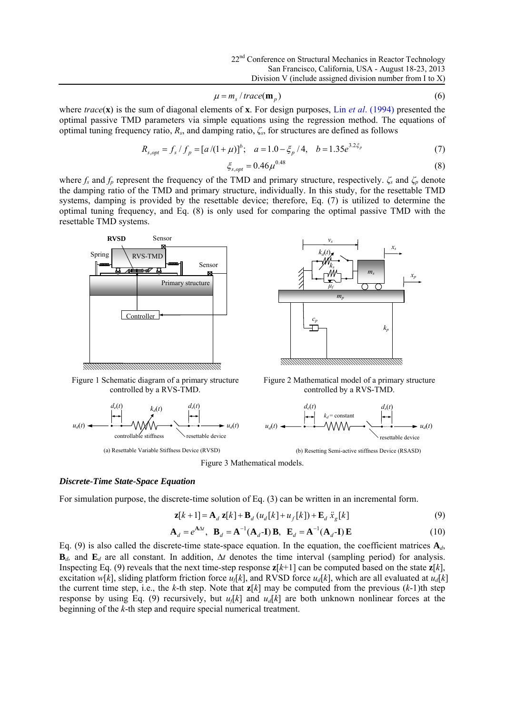$$
\mu = m_s / \text{trace}(\mathbf{m}_p) \tag{6}
$$

where *trace*(**x**) is the sum of diagonal elements of **x**. For design purposes, Lin *et al*. (1994) presented the optimal passive TMD parameters via simple equations using the regression method. The equations of optimal tuning frequency ratio, *Rs*, and damping ratio, *ζs*, for structures are defined as follows

$$
R_{s,opt} = f_s / f_p = [a/(1+\mu)]^b; \quad a = 1.0 - \xi_p / 4, \quad b = 1.35e^{3.2\xi_p}
$$
 (7)

$$
\xi_{s,opt} = 0.46 \mu^{0.48} \tag{8}
$$

where  $f_s$  and  $f_p$  represent the frequency of the TMD and primary structure, respectively.  $\zeta_s$  and  $\zeta_p$  denote the damping ratio of the TMD and primary structure, individually. In this study, for the resettable TMD systems, damping is provided by the resettable device; therefore, Eq. (7) is utilized to determine the optimal tuning frequency, and Eq. (8) is only used for comparing the optimal passive TMD with the resettable TMD systems.



Figure 1 Schematic diagram of a primary structure controlled by a RVS-TMD.



(a) Resettable Variable Stiffness Device (RVSD)



Figure 2 Mathematical model of a primary structure controlled by a RVS-TMD.



(b) Resetting Semi-active stiffness Device (RSASD)



#### *Discrete-Time State-Space Equation*

For simulation purpose, the discrete-time solution of Eq. (3) can be written in an incremental form.

$$
\mathbf{z}[k+1] = \mathbf{A}_d \mathbf{z}[k] + \mathbf{B}_d \left( u_d[k] + u_f[k] \right) + \mathbf{E}_d \ddot{\mathbf{x}}_g[k] \tag{9}
$$

$$
\mathbf{A}_d = e^{\mathbf{A}\Delta t}, \quad \mathbf{B}_d = \mathbf{A}^{-1}(\mathbf{A}_d - \mathbf{I})\mathbf{B}, \quad \mathbf{E}_d = \mathbf{A}^{-1}(\mathbf{A}_d - \mathbf{I})\mathbf{E}
$$
(10)

Eq. (9) is also called the discrete-time state-space equation. In the equation, the coefficient matrices  $A_d$ ,  $\mathbf{B}_{d}$ , and  $\mathbf{E}_{d}$  are all constant. In addition,  $\Delta t$  denotes the time interval (sampling period) for analysis. Inspecting Eq. (9) reveals that the next time-step response  $z[k+1]$  can be computed based on the state  $z[k]$ , excitation *w*[*k*], sliding platform friction force *u<sub>f</sub>*[*k*], and RVSD force *u<sub>f</sub>*[*k*], which are all evaluated at  $u_d[k]$ the current time step, i.e., the *k*-th step. Note that **z**[*k*] may be computed from the previous (*k*-1)th step response by using Eq. (9) recursively, but  $u_f[k]$  and  $u_d[k]$  are both unknown nonlinear forces at the beginning of the *k*-th step and require special numerical treatment.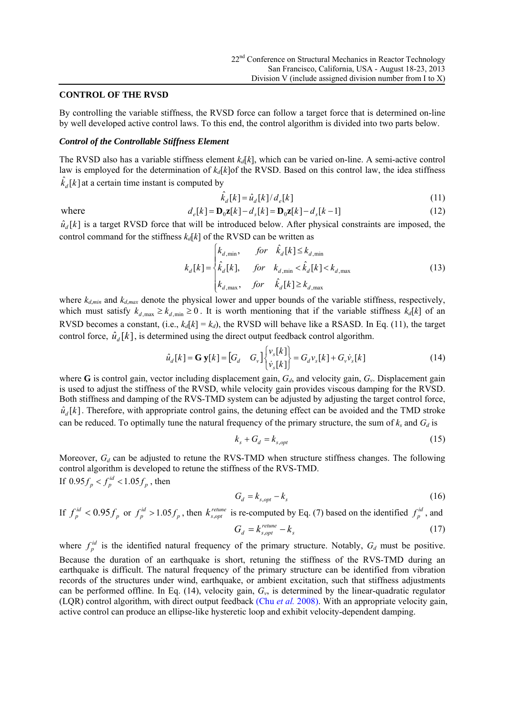#### **CONTROL OF THE RVSD**

By controlling the variable stiffness, the RVSD force can follow a target force that is determined on-line by well developed active control laws. To this end, the control algorithm is divided into two parts below.

#### *Control of the Controllable Stiffness Element*

The RVSD also has a variable stiffness element  $k_d[k]$ , which can be varied on-line. A semi-active control law is employed for the determination of  $k_d[k]$ of the RVSD. Based on this control law, the idea stiffness  $\hat{k}_d[k]$  at a certain time instant is computed by

$$
\hat{k}_d[k] = \hat{u}_d[k]/d_e[k] \tag{11}
$$

where 
$$
d_e[k] = \mathbf{D}_0 \mathbf{z}[k] - d_s[k] = \mathbf{D}_0 \mathbf{z}[k] - d_s[k-1]
$$
 (12)

 $\hat{u}_d[k]$  is a target RVSD force that will be introduced below. After physical constraints are imposed, the control command for the stiffness  $k_d[k]$  of the RVSD can be written as

$$
k_d[k] = \begin{cases} k_{d,\min}, & \text{for} \quad \hat{k}_d[k] \le k_{d,\min} \\ \hat{k}_d[k], & \text{for} \quad k_{d,\min} < \hat{k}_d[k] < k_{d,\max} \\ k_{d,\max}, & \text{for} \quad \hat{k}_d[k] \ge k_{d,\max} \end{cases} \tag{13}
$$

where  $k_{d,min}$  and  $k_{d,max}$  denote the physical lower and upper bounds of the variable stiffness, respectively, which must satisfy  $k_{d, max} \ge k_{d, min} \ge 0$ . It is worth mentioning that if the variable stiffness  $k_d[k]$  of an RVSD becomes a constant, (i.e.,  $k_d[k] = k_d$ ), the RVSD will behave like a RSASD. In Eq. (11), the target control force,  $\hat{u}_d[k]$ , is determined using the direct output feedback control algorithm.

$$
\hat{u}_d[k] = \mathbf{G} \mathbf{y}[k] = \begin{bmatrix} G_d & G_v \end{bmatrix} \begin{bmatrix} v_s[k] \\ \dot{v}_s[k] \end{bmatrix} = G_d v_s[k] + G_v \dot{v}_s[k] \tag{14}
$$

where **G** is control gain, vector including displacement gain,  $G_d$ , and velocity gain,  $G_v$ . Displacement gain is used to adjust the stiffness of the RVSD, while velocity gain provides viscous damping for the RVSD. Both stiffness and damping of the RVS-TMD system can be adjusted by adjusting the target control force,  $\hat{u}_d[k]$ . Therefore, with appropriate control gains, the detuning effect can be avoided and the TMD stroke can be reduced. To optimally tune the natural frequency of the primary structure, the sum of  $k_s$  and  $G_d$  is

$$
k_s + G_d = k_{s,opt} \tag{15}
$$

Moreover,  $G_d$  can be adjusted to retune the RVS-TMD when structure stiffness changes. The following control algorithm is developed to retune the stiffness of the RVS-TMD. If  $0.95f_p < f_p^{id} < 1.05f_p$ , then

$$
G_d = k_{s,opt} - k_s \tag{16}
$$

If  $f_p^{id} < 0.95 f_p$  or  $f_p^{id} > 1.05 f_p$ , then  $k_{s, opt}^{return}$  is re-computed by Eq. (7) based on the identified  $f_p^{id}$ , and  $G_d = k_{s,opt}^{return} - k_s$  (17)

*s*

where  $f_p^{id}$  is the identified natural frequency of the primary structure. Notably,  $G_d$  must be positive. Because the duration of an earthquake is short, retuning the stiffness of the RVS-TMD during an earthquake is difficult. The natural frequency of the primary structure can be identified from vibration records of the structures under wind, earthquake, or ambient excitation, such that stiffness adjustments can be performed offline. In Eq. (14), velocity gain, *Gv*, is determined by the linear-quadratic regulator (LQR) control algorithm, with direct output feedback (Chu *et al.* 2008). With an appropriate velocity gain, active control can produce an ellipse-like hysteretic loop and exhibit velocity-dependent damping.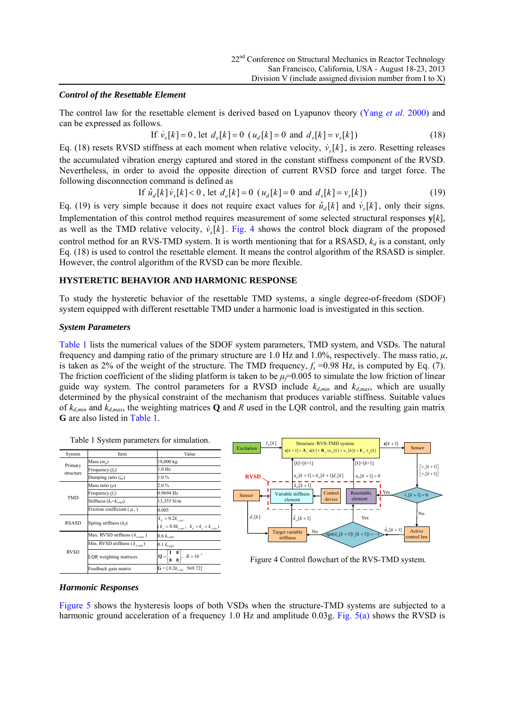Yes

 $\hat{u}_A[k+1]$ 

Active<br>
ntrol lay

No

 $+1$ ]

 $\begin{bmatrix} v_s[k+1] \\ \dot{v}_s[k+1] \end{bmatrix}$  $\lceil v_s[k+1] \rceil$ 

Sensor

### *Control of the Resettable Element*

The control law for the resettable element is derived based on Lyapunov theory (Yang *et al.* 2000) and can be expressed as follows.

If 
$$
\dot{v}_s[k] = 0
$$
, let  $d_e[k] = 0$  ( $u_d[k] = 0$  and  $d_s[k] = v_s[k])$  (18)

Eq. (18) resets RVSD stiffness at each moment when relative velocity,  $\dot{v}_s[k]$ , is zero. Resetting releases the accumulated vibration energy captured and stored in the constant stiffness component of the RVSD. Nevertheless, in order to avoid the opposite direction of current RVSD force and target force. The following disconnection command is defined as

If 
$$
\hat{u}_d[k]\hat{v}_s[k] < 0
$$
, let  $d_e[k] = 0$  ( $u_d[k] = 0$  and  $d_s[k] = v_s[k]$ ) (19)

Eq. (19) is very simple because it does not require exact values for  $\hat{u}_d[k]$  and  $\hat{v}_s[k]$ , only their signs. Implementation of this control method requires measurement of some selected structural responses **y**[*k*], as well as the TMD relative velocity,  $\dot{v}_s[k]$ . Fig. 4 shows the control block diagram of the proposed control method for an RVS-TMD system. It is worth mentioning that for a RSASD,  $k_d$  is a constant, only Eq. (18) is used to control the resettable element. It means the control algorithm of the RSASD is simpler. However, the control algorithm of the RVSD can be more flexible.

# **HYSTERETIC BEHAVIOR AND HARMONIC RESPONSE**

To study the hysteretic behavior of the resettable TMD systems, a single degree-of-freedom (SDOF) system equipped with different resettable TMD under a harmonic load is investigated in this section.

#### *System Parameters*

Table 1 lists the numerical values of the SDOF system parameters, TMD system, and VSDs. The natural frequency and damping ratio of the primary structure are 1.0 Hz and 1.0%, respectively. The mass ratio,  $\mu$ , is taken as 2% of the weight of the structure. The TMD frequency,  $f_s = 0.98$  Hz, is computed by Eq. (7). The friction coefficient of the sliding platform is taken to be  $\mu$ <sup> $=$ 0.005 to simulate the low friction of linear</sup> guide way system. The control parameters for a RVSD include  $k_{d,min}$  and  $k_{d,max}$ , which are usually determined by the physical constraint of the mechanism that produces variable stiffness. Suitable values of  $k_{d,min}$  and  $k_{d,max}$ , the weighting matrices **Q** and *R* used in the LQR control, and the resulting gain matrix **G** are also listed in Table 1.



Feedback gain matrix  $\mathbf{G} = [0.2k_{\text{s,out}} 569.72]$ 

#### *Harmonic Responses*

Figure 5 shows the hysteresis loops of both VSDs when the structure-TMD systems are subjected to a harmonic ground acceleration of a frequency 1.0 Hz and amplitude 0.03g. Fig. 5(a) shows the RVSD is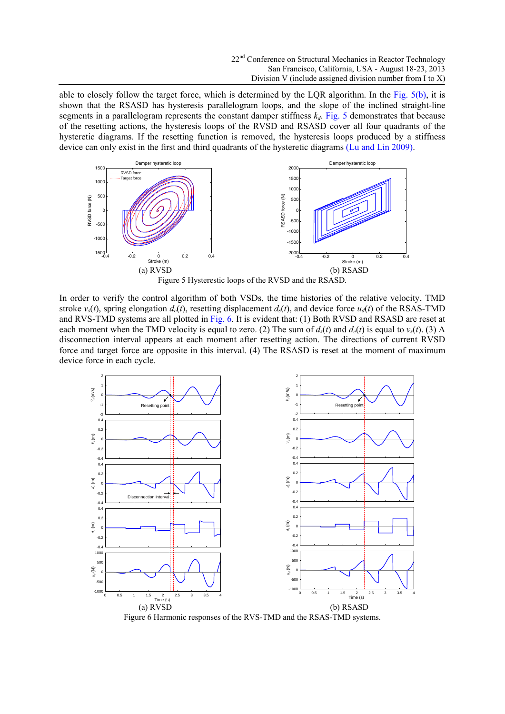able to closely follow the target force, which is determined by the LQR algorithm. In the Fig. 5(b), it is shown that the RSASD has hysteresis parallelogram loops, and the slope of the inclined straight-line segments in a parallelogram represents the constant damper stiffness  $k_d$ . Fig. 5 demonstrates that because of the resetting actions, the hysteresis loops of the RVSD and RSASD cover all four quadrants of the hysteretic diagrams. If the resetting function is removed, the hysteresis loops produced by a stiffness device can only exist in the first and third quadrants of the hysteretic diagrams (Lu and Lin 2009).



In order to verify the control algorithm of both VSDs, the time histories of the relative velocity, TMD stroke  $v_s(t)$ , spring elongation  $d_e(t)$ , resetting displacement  $d_s(t)$ , and device force  $u_d(t)$  of the RSAS-TMD and RVS-TMD systems are all plotted in Fig. 6. It is evident that: (1) Both RVSD and RSASD are reset at each moment when the TMD velocity is equal to zero. (2) The sum of  $d_s(t)$  and  $d_e(t)$  is equal to  $v_s(t)$ . (3) A disconnection interval appears at each moment after resetting action. The directions of current RVSD force and target force are opposite in this interval. (4) The RSASD is reset at the moment of maximum device force in each cycle.



Figure 6 Harmonic responses of the RVS-TMD and the RSAS-TMD systems.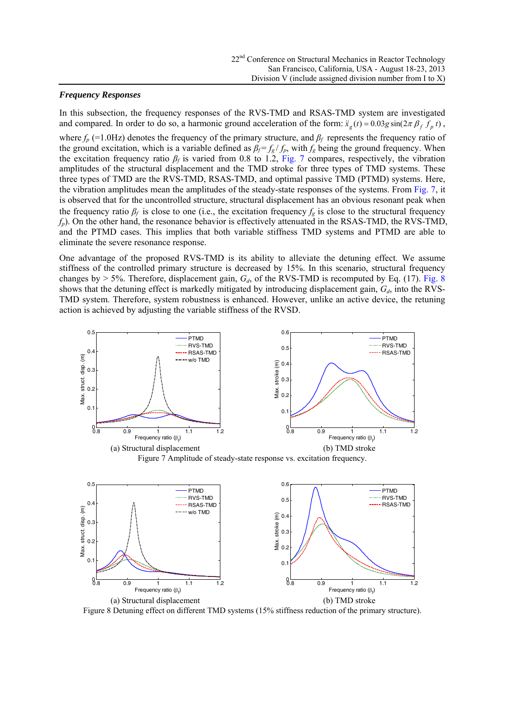# *Frequency Responses*

In this subsection, the frequency responses of the RVS-TMD and RSAS-TMD system are investigated and compared. In order to do so, a harmonic ground acceleration of the form:  $\ddot{x}_e(t) = 0.03g \sin(2\pi \beta_f f_p t)$ , where *fp* (=1.0Hz) denotes the frequency of the primary structure, and *β<sup>f</sup>* represents the frequency ratio of the ground excitation, which is a variable defined as  $\beta_f = f_g / f_p$ , with  $f_g$  being the ground frequency. When the excitation frequency ratio *βf* is varied from 0.8 to 1.2, Fig. 7 compares, respectively, the vibration amplitudes of the structural displacement and the TMD stroke for three types of TMD systems. These three types of TMD are the RVS-TMD, RSAS-TMD, and optimal passive TMD (PTMD) systems. Here, the vibration amplitudes mean the amplitudes of the steady-state responses of the systems. From Fig. 7, it is observed that for the uncontrolled structure, structural displacement has an obvious resonant peak when the frequency ratio  $\beta_f$  is close to one (i.e., the excitation frequency  $f_g$  is close to the structural frequency *fp*). On the other hand, the resonance behavior is effectively attenuated in the RSAS-TMD, the RVS-TMD, and the PTMD cases. This implies that both variable stiffness TMD systems and PTMD are able to eliminate the severe resonance response.

One advantage of the proposed RVS-TMD is its ability to alleviate the detuning effect. We assume stiffness of the controlled primary structure is decreased by 15%. In this scenario, structural frequency changes by  $> 5\%$ . Therefore, displacement gain,  $G_d$ , of the RVS-TMD is recomputed by Eq. (17). Fig. 8 shows that the detuning effect is markedly mitigated by introducing displacement gain,  $G_d$ , into the RVS-TMD system. Therefore, system robustness is enhanced. However, unlike an active device, the retuning action is achieved by adjusting the variable stiffness of the RVSD.



Figure 8 Detuning effect on different TMD systems (15% stiffness reduction of the primary structure).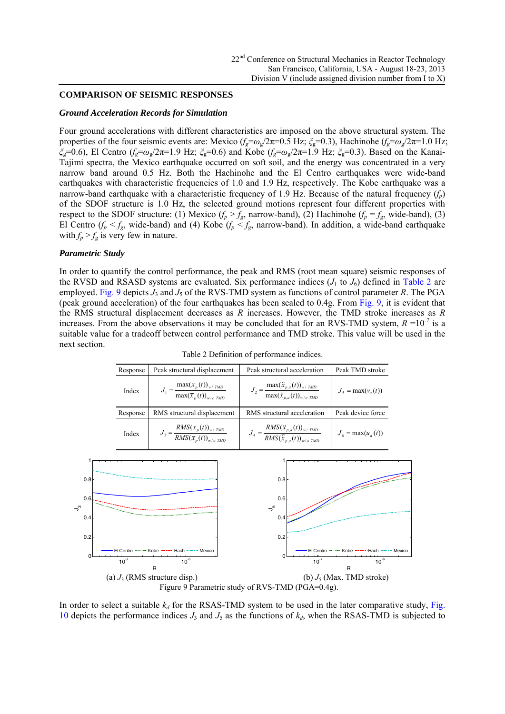#### **COMPARISON OF SEISMIC RESPONSES**

#### *Ground Acceleration Records for Simulation*

Four ground accelerations with different characteristics are imposed on the above structural system. The properties of the four seismic events are: Mexico (*fg*=*ω*g/2π=0.5 Hz; *ξ*g=0.3), Hachinohe (*fg*=*ω*g/2π=1.0 Hz; *ξ*g=0.6), El Centro (*fg*=*ω*g/2π=1.9 Hz; *ξ*g=0.6) and Kobe (*fg*=*ω*g/2π=1.9 Hz; *ξ*g=0.3). Based on the Kanai-Tajimi spectra, the Mexico earthquake occurred on soft soil, and the energy was concentrated in a very narrow band around 0.5 Hz. Both the Hachinohe and the El Centro earthquakes were wide-band earthquakes with characteristic frequencies of 1.0 and 1.9 Hz, respectively. The Kobe earthquake was a narrow-band earthquake with a characteristic frequency of 1.9 Hz. Because of the natural frequency  $(f_p)$ of the SDOF structure is 1.0 Hz, the selected ground motions represent four different properties with respect to the SDOF structure: (1) Mexico  $(f_p > f_g)$ , narrow-band), (2) Hachinohe  $(f_p = f_g)$ , wide-band), (3) El Centro  $(f_p < f_g$ , wide-band) and (4) Kobe  $(f_p < f_g$ , narrow-band). In addition, a wide-band earthquake with  $f_p > f_g$  is very few in nature.

#### *Parametric Study*

In order to quantify the control performance, the peak and RMS (root mean square) seismic responses of the RVSD and RSASD systems are evaluated. Six performance indices  $(J_1$  to  $J_6$ ) defined in Table 2 are employed. Fig. 9 depicts  $J_3$  and  $J_5$  of the RVS-TMD system as functions of control parameter R. The PGA (peak ground acceleration) of the four earthquakes has been scaled to 0.4g. From Fig. 9, it is evident that the RMS structural displacement decreases as *R* increases. However, the TMD stroke increases as *R* increases. From the above observations it may be concluded that for an RVS-TMD system,  $R = 10^{-7}$  is a suitable value for a tradeoff between control performance and TMD stroke. This value will be used in the next section.

| Response | Peak structural displacement                                         | Peak structural acceleration                                                                                       | Peak TMD stroke      |
|----------|----------------------------------------------------------------------|--------------------------------------------------------------------------------------------------------------------|----------------------|
| Index    | $J_1 = \frac{\max(x_p(t))_{w/ TMD}}{\max(\bar{x}_p(t))_{w/o TMD}}$   | $J_2 = \frac{\max(\ddot{x}_{p,a}(t))_{w \text{ f} \; M\!D}}{\max(\ddot{\ddot{x}}_{p,a}(t))_{w \text{ f} \; M\!D}}$ | $Js = max(vs(t))$    |
| Response | RMS structural displacement                                          | RMS structural acceleration                                                                                        | Peak device force    |
| Index    | $J_3 = \frac{RMS(x_p(t))_{w/TMD}}{RMS(\overline{x}_p(t))_{w/o TMD}}$ | $J_4 = \frac{RMS(\ddot{x}_{p,a}(t))_{w/TMD}}{RMS(\ddot{\overline{x}}_{p,a}(t))_{w/o TMD}}$                         | $J_6 = \max(u_d(t))$ |

Table 2 Definition of performance indices.



In order to select a suitable  $k_d$  for the RSAS-TMD system to be used in the later comparative study, Fig. 10 depicts the performance indices  $J_3$  and  $J_5$  as the functions of  $k_d$ , when the RSAS-TMD is subjected to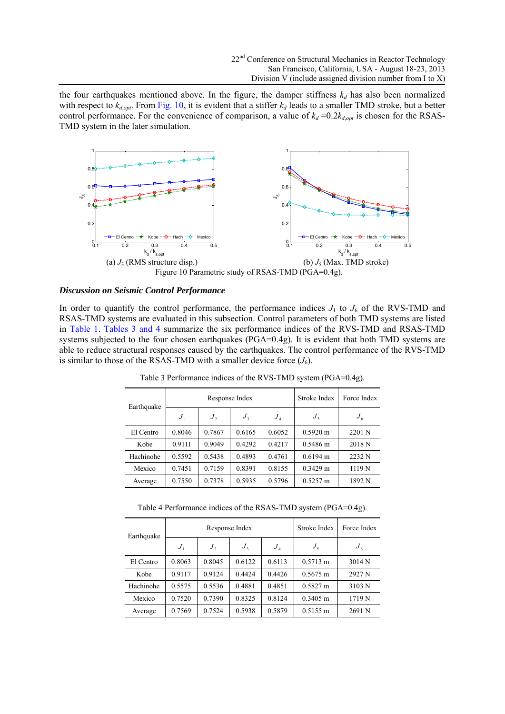the four earthquakes mentioned above. In the figure, the damper stiffness  $k_d$  has also been normalized with respect to  $k_{d, opt}$ . From Fig. 10, it is evident that a stiffer  $k_d$  leads to a smaller TMD stroke, but a better control performance. For the convenience of comparison, a value of  $k_d = 0.2k_{d,opt}$  is chosen for the RSAS-TMD system in the later simulation.



#### *Discussion on Seismic Control Performance*

In order to quantify the control performance, the performance indices  $J_1$  to  $J_6$  of the RVS-TMD and RSAS-TMD systems are evaluated in this subsection. Control parameters of both TMD systems are listed in Table 1. Tables 3 and 4 summarize the six performance indices of the RVS-TMD and RSAS-TMD systems subjected to the four chosen earthquakes (PGA=0.4g). It is evident that both TMD systems are able to reduce structural responses caused by the earthquakes. The control performance of the RVS-TMD is similar to those of the RSAS-TMD with a smaller device force  $(J_6)$ .

| Earthquake | Response Index |              |              | Stroke Index               | Force Index        |              |
|------------|----------------|--------------|--------------|----------------------------|--------------------|--------------|
|            | $J_{1}$        | $J_{\gamma}$ | $J_{\rm{3}}$ | $J_{\scriptscriptstyle A}$ | $J_{\rm S}$        | $J_{\kappa}$ |
| El Centro  | 0.8046         | 0.7867       | 0.6165       | 0.6052                     | $0.5920 \text{ m}$ | 2201 N       |
| Kobe       | 0.9111         | 0.9049       | 0.4292       | 0.4217                     | $0.5486 \text{ m}$ | 2018 N       |
| Hachinohe  | 0.5592         | 0.5438       | 0.4893       | 0.4761                     | $0.6194 \text{ m}$ | 2232 N       |
| Mexico     | 0.7451         | 0.7159       | 0.8391       | 0.8155                     | $0.3429$ m         | 1119 N       |
| Average    | 0.7550         | 0.7378       | 0.5935       | 0.5796                     | $0.5257 \text{ m}$ | 1892 N       |

Table 3 Performance indices of the RVS-TMD system (PGA=0.4g).

Table 4 Performance indices of the RSAS-TMD system (PGA=0.4g).

| Earthquake | Response Index |                  |              | Stroke Index | Force Index        |              |
|------------|----------------|------------------|--------------|--------------|--------------------|--------------|
|            | $J_{\perp}$    | $J_{\mathrm{2}}$ | $J_{\rm{3}}$ | $J_{\rm A}$  | $J_{\rm S}$        | $J_{\kappa}$ |
| El Centro  | 0.8063         | 0.8045           | 0.6122       | 0.6113       | $0.5713 \text{ m}$ | 3014 N       |
| Kobe       | 0.9117         | 0.9124           | 0.4424       | 0.4426       | $0.5675 \text{ m}$ | 2927 N       |
| Hachinohe  | 0.5575         | 0.5536           | 0.4881       | 0.4851       | $0.5827 \text{ m}$ | 3103 N       |
| Mexico     | 0.7520         | 0.7390           | 0.8325       | 0.8124       | $0.3405$ m         | 1719 N       |
| Average    | 0.7569         | 0.7524           | 0.5938       | 0.5879       | $0.5155 \text{ m}$ | 2691 N       |